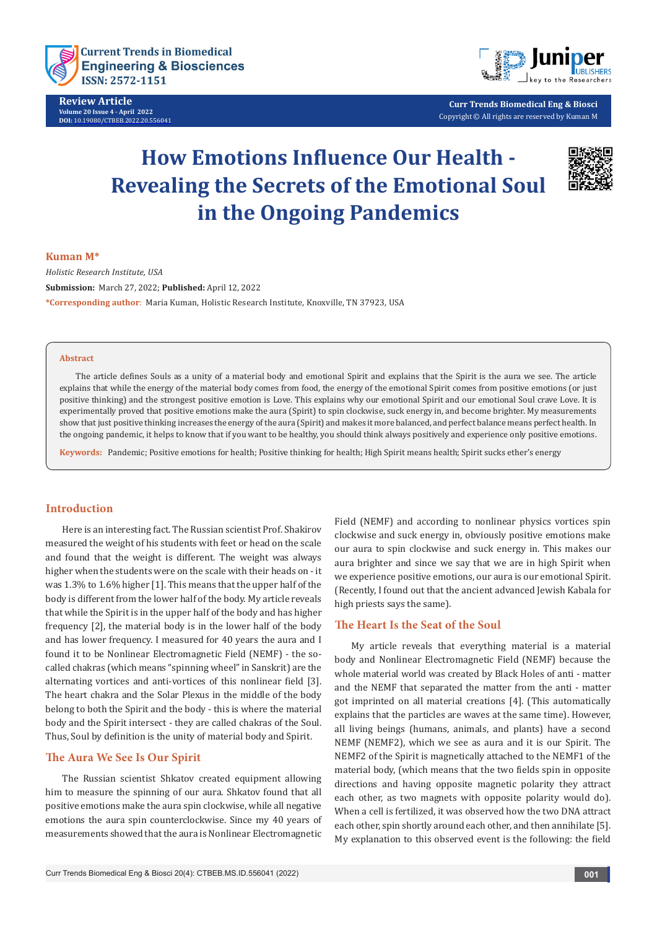

**Review Article Volume 20 Issue 4 - April 2022 DOI:** [10.19080/CTBEB.2022.20.556041](http://dx.doi.org/10.19080/CTBEB.2022.20.556041)



**Curr Trends Biomedical Eng & Biosci** Copyright © All rights are reserved by Kuman M

# **How Emotions Influence Our Health - Revealing the Secrets of the Emotional Soul in the Ongoing Pandemics**



### **Kuman M\***

*Holistic Research Institute, USA* **Submission:** March 27, 2022; **Published:** April 12, 2022 **\*Corresponding author**: Maria Kuman, Holistic Research Institute, Knoxville, TN 37923, USA

### **Abstract**

The article defines Souls as a unity of a material body and emotional Spirit and explains that the Spirit is the aura we see. The article explains that while the energy of the material body comes from food, the energy of the emotional Spirit comes from positive emotions (or just positive thinking) and the strongest positive emotion is Love. This explains why our emotional Spirit and our emotional Soul crave Love. It is experimentally proved that positive emotions make the aura (Spirit) to spin clockwise, suck energy in, and become brighter. My measurements show that just positive thinking increases the energy of the aura (Spirit) and makes it more balanced, and perfect balance means perfect health. In the ongoing pandemic, it helps to know that if you want to be healthy, you should think always positively and experience only positive emotions.

**Keywords:** Pandemic; Positive emotions for health; Positive thinking for health; High Spirit means health; Spirit sucks ether's energy

## **Introduction**

Here is an interesting fact. The Russian scientist Prof. Shakirov measured the weight of his students with feet or head on the scale and found that the weight is different. The weight was always higher when the students were on the scale with their heads on - it was 1.3% to 1.6% higher [1]. This means that the upper half of the body is different from the lower half of the body. My article reveals that while the Spirit is in the upper half of the body and has higher frequency [2], the material body is in the lower half of the body and has lower frequency. I measured for 40 years the aura and I found it to be Nonlinear Electromagnetic Field (NEMF) - the socalled chakras (which means "spinning wheel" in Sanskrit) are the alternating vortices and anti-vortices of this nonlinear field [3]. The heart chakra and the Solar Plexus in the middle of the body belong to both the Spirit and the body - this is where the material body and the Spirit intersect - they are called chakras of the Soul. Thus, Soul by definition is the unity of material body and Spirit.

## **The Aura We See Is Our Spirit**

The Russian scientist Shkatov created equipment allowing him to measure the spinning of our aura. Shkatov found that all positive emotions make the aura spin clockwise, while all negative emotions the aura spin counterclockwise. Since my 40 years of measurements showed that the aura is Nonlinear Electromagnetic Field (NEMF) and according to nonlinear physics vortices spin clockwise and suck energy in, obviously positive emotions make our aura to spin clockwise and suck energy in. This makes our aura brighter and since we say that we are in high Spirit when we experience positive emotions, our aura is our emotional Spirit. (Recently, I found out that the ancient advanced Jewish Kabala for high priests says the same).

## **The Heart Is the Seat of the Soul**

My article reveals that everything material is a material body and Nonlinear Electromagnetic Field (NEMF) because the whole material world was created by Black Holes of anti - matter and the NEMF that separated the matter from the anti - matter got imprinted on all material creations [4]. (This automatically explains that the particles are waves at the same time). However, all living beings (humans, animals, and plants) have a second NEMF (NEMF2), which we see as aura and it is our Spirit. The NEMF2 of the Spirit is magnetically attached to the NEMF1 of the material body, (which means that the two fields spin in opposite directions and having opposite magnetic polarity they attract each other, as two magnets with opposite polarity would do). When a cell is fertilized, it was observed how the two DNA attract each other, spin shortly around each other, and then annihilate [5]. My explanation to this observed event is the following: the field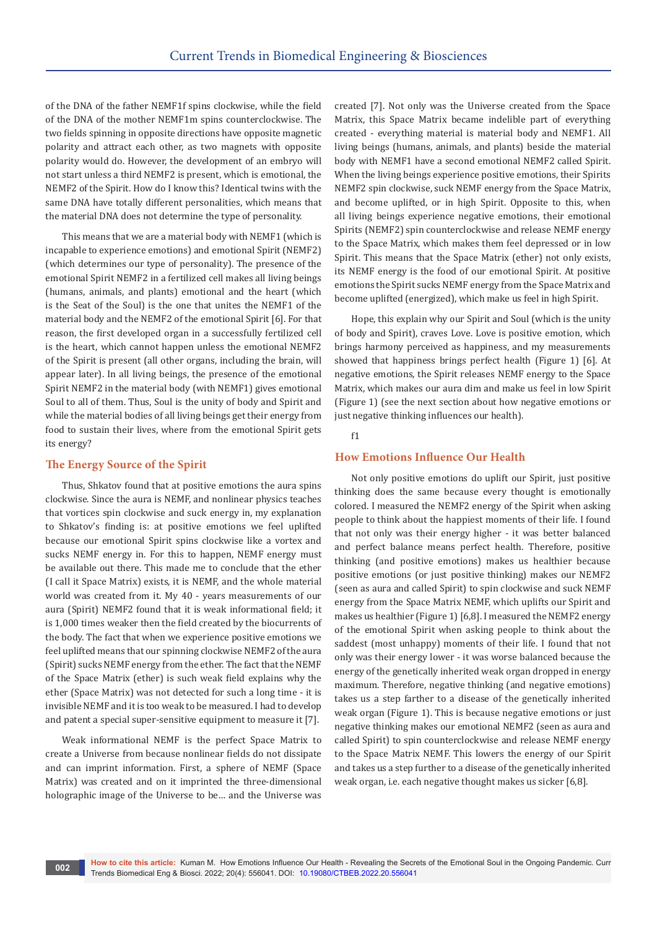of the DNA of the father NEMF1f spins clockwise, while the field of the DNA of the mother NEMF1m spins counterclockwise. The two fields spinning in opposite directions have opposite magnetic polarity and attract each other, as two magnets with opposite polarity would do. However, the development of an embryo will not start unless a third NEMF2 is present, which is emotional, the NEMF2 of the Spirit. How do I know this? Identical twins with the same DNA have totally different personalities, which means that the material DNA does not determine the type of personality.

This means that we are a material body with NEMF1 (which is incapable to experience emotions) and emotional Spirit (NEMF2) (which determines our type of personality). The presence of the emotional Spirit NEMF2 in a fertilized cell makes all living beings (humans, animals, and plants) emotional and the heart (which is the Seat of the Soul) is the one that unites the NEMF1 of the material body and the NEMF2 of the emotional Spirit [6]. For that reason, the first developed organ in a successfully fertilized cell is the heart, which cannot happen unless the emotional NEMF2 of the Spirit is present (all other organs, including the brain, will appear later). In all living beings, the presence of the emotional Spirit NEMF2 in the material body (with NEMF1) gives emotional Soul to all of them. Thus, Soul is the unity of body and Spirit and while the material bodies of all living beings get their energy from food to sustain their lives, where from the emotional Spirit gets its energy?

# **The Energy Source of the Spirit**

Thus, Shkatov found that at positive emotions the aura spins clockwise. Since the aura is NEMF, and nonlinear physics teaches that vortices spin clockwise and suck energy in, my explanation to Shkatov's finding is: at positive emotions we feel uplifted because our emotional Spirit spins clockwise like a vortex and sucks NEMF energy in. For this to happen, NEMF energy must be available out there. This made me to conclude that the ether (I call it Space Matrix) exists, it is NEMF, and the whole material world was created from it. My 40 - years measurements of our aura (Spirit) NEMF2 found that it is weak informational field; it is 1,000 times weaker then the field created by the biocurrents of the body. The fact that when we experience positive emotions we feel uplifted means that our spinning clockwise NEMF2 of the aura (Spirit) sucks NEMF energy from the ether. The fact that the NEMF of the Space Matrix (ether) is such weak field explains why the ether (Space Matrix) was not detected for such a long time - it is invisible NEMF and it is too weak to be measured. I had to develop and patent a special super-sensitive equipment to measure it [7].

Weak informational NEMF is the perfect Space Matrix to create a Universe from because nonlinear fields do not dissipate and can imprint information. First, a sphere of NEMF (Space Matrix) was created and on it imprinted the three-dimensional holographic image of the Universe to be… and the Universe was

created [7]. Not only was the Universe created from the Space Matrix, this Space Matrix became indelible part of everything created - everything material is material body and NEMF1. All living beings (humans, animals, and plants) beside the material body with NEMF1 have a second emotional NEMF2 called Spirit. When the living beings experience positive emotions, their Spirits NEMF2 spin clockwise, suck NEMF energy from the Space Matrix, and become uplifted, or in high Spirit. Opposite to this, when all living beings experience negative emotions, their emotional Spirits (NEMF2) spin counterclockwise and release NEMF energy to the Space Matrix, which makes them feel depressed or in low Spirit. This means that the Space Matrix (ether) not only exists, its NEMF energy is the food of our emotional Spirit. At positive emotions the Spirit sucks NEMF energy from the Space Matrix and become uplifted (energized), which make us feel in high Spirit.

Hope, this explain why our Spirit and Soul (which is the unity of body and Spirit), craves Love. Love is positive emotion, which brings harmony perceived as happiness, and my measurements showed that happiness brings perfect health (Figure 1) [6]. At negative emotions, the Spirit releases NEMF energy to the Space Matrix, which makes our aura dim and make us feel in low Spirit (Figure 1) (see the next section about how negative emotions or just negative thinking influences our health).

## f1

# **How Emotions Influence Our Health**

Not only positive emotions do uplift our Spirit, just positive thinking does the same because every thought is emotionally colored. I measured the NEMF2 energy of the Spirit when asking people to think about the happiest moments of their life. I found that not only was their energy higher - it was better balanced and perfect balance means perfect health. Therefore, positive thinking (and positive emotions) makes us healthier because positive emotions (or just positive thinking) makes our NEMF2 (seen as aura and called Spirit) to spin clockwise and suck NEMF energy from the Space Matrix NEMF, which uplifts our Spirit and makes us healthier (Figure 1) [6,8]. I measured the NEMF2 energy of the emotional Spirit when asking people to think about the saddest (most unhappy) moments of their life. I found that not only was their energy lower - it was worse balanced because the energy of the genetically inherited weak organ dropped in energy maximum. Therefore, negative thinking (and negative emotions) takes us a step farther to a disease of the genetically inherited weak organ (Figure 1). This is because negative emotions or just negative thinking makes our emotional NEMF2 (seen as aura and called Spirit) to spin counterclockwise and release NEMF energy to the Space Matrix NEMF. This lowers the energy of our Spirit and takes us a step further to a disease of the genetically inherited weak organ, i.e. each negative thought makes us sicker [6,8].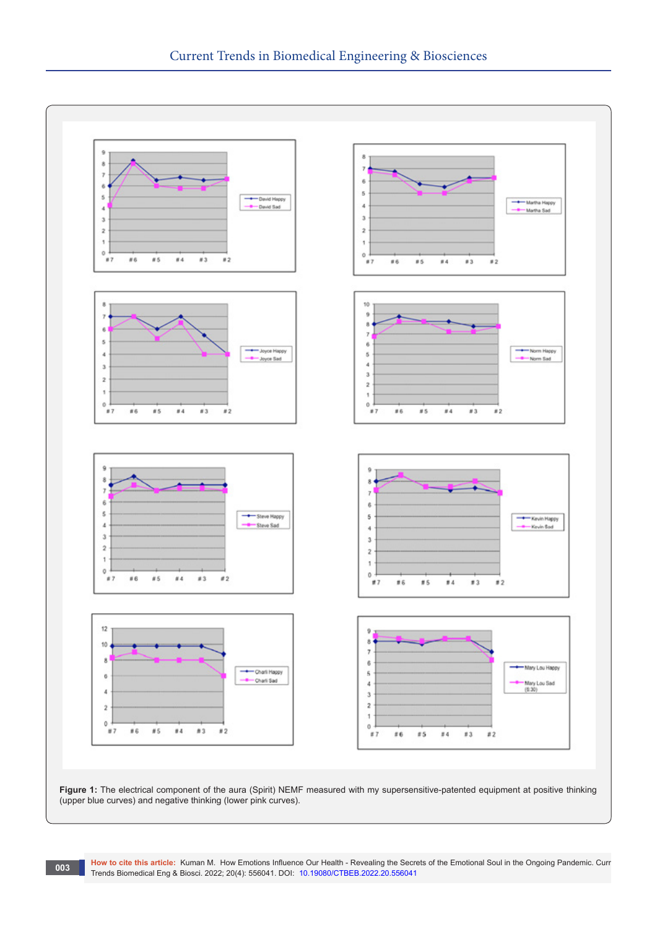

**How to cite this article:** Kuman M. How Emotions Influence Our Health - Revealing the Secrets of the Emotional Soul in the Ongoing Pandemic. Curr Trends Biomedical Eng & Biosci. 2022; 20(4): 556041. DOI: [10.19080/CTBEB.2022.20.5560](http://dx.doi.org/10.19080/CTBEB.2022.20.556041)41 **<sup>003</sup>**